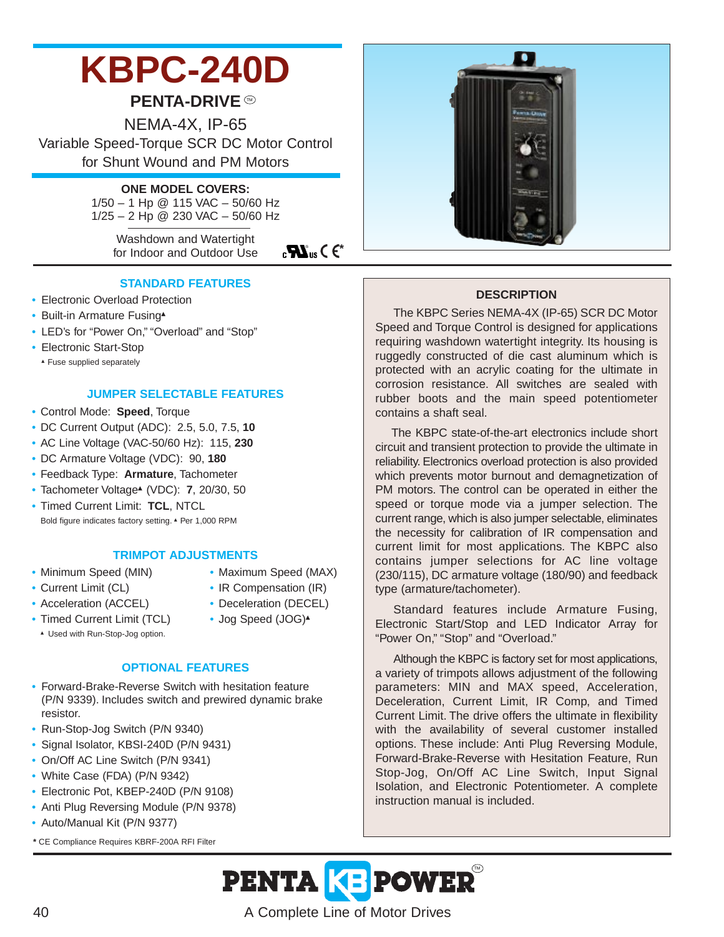# **KBPC-240D**

# **PENTA-DRIVE**

NEMA-4X, IP-65 Variable Speed-Torque SCR DC Motor Control for Shunt Wound and PM Motors

#### **ONE MODEL COVERS:**

1/50 – 1 Hp @ 115 VAC – 50/60 Hz 1/25 – 2 Hp @ 230 VAC – 50/60 Hz

> Washdown and Watertight for Indoor and Outdoor Use

 $_{c}$ **W**<sub>us</sub>  $\in$   $\epsilon$ <sup>\*</sup>

#### **STANDARD FEATURES**

- Electronic Overload Protection
- Built-in Armature Fusing▲
- LED's for "Power On," "Overload" and "Stop"
- Electronic Start-Stop
	- ▲ Fuse supplied separately

# **JUMPER SELECTABLE FEATURES**

- Control Mode: **Speed**, Torque
- DC Current Output (ADC): 2.5, 5.0, 7.5, **10**
- AC Line Voltage (VAC-50/60 Hz): 115, **230**
- DC Armature Voltage (VDC): 90, **180**
- Feedback Type: **Armature**, Tachometer
- Tachometer Voltage▲ (VDC): **7**, 20/30, 50
- Timed Current Limit: **TCL**, NTCL Bold figure indicates factory setting. ▲ Per 1,000 RPM

#### **TRIMPOT ADJUSTMENTS**

- 
- Minimum Speed (MIN) Maximum Speed (MAX)
- Current Limit (CL) IR Compensation (IR)
	-
- Acceleration (ACCEL) Deceleration (DECEL)
- Timed Current Limit (TCL) Jog Speed (JOG)
- ▲ Used with Run-Stop-Jog option.
	-

# **OPTIONAL FEATURES**

- Forward-Brake-Reverse Switch with hesitation feature (P/N 9339). Includes switch and prewired dynamic brake resistor.
- Run-Stop-Jog Switch (P/N 9340)
- Signal Isolator, KBSI-240D (P/N 9431)
- On/Off AC Line Switch (P/N 9341)
- White Case (FDA) (P/N 9342)
- Electronic Pot, KBEP-240D (P/N 9108)
- Anti Plug Reversing Module (P/N 9378)
- Auto/Manual Kit (P/N 9377)
- **\*** CE Compliance Requires KBRF-200A RFI Filter



#### **DESCRIPTION**

The KBPC Series NEMA-4X (IP-65) SCR DC Motor Speed and Torque Control is designed for applications requiring washdown watertight integrity. Its housing is ruggedly constructed of die cast aluminum which is protected with an acrylic coating for the ultimate in corrosion resistance. All switches are sealed with rubber boots and the main speed potentiometer contains a shaft seal.

The KBPC state-of-the-art electronics include short circuit and transient protection to provide the ultimate in reliability. Electronics overload protection is also provided which prevents motor burnout and demagnetization of PM motors. The control can be operated in either the speed or torque mode via a jumper selection. The current range, which is also jumper selectable, eliminates the necessity for calibration of IR compensation and current limit for most applications. The KBPC also contains jumper selections for AC line voltage (230/115), DC armature voltage (180/90) and feedback type (armature/tachometer).

Standard features include Armature Fusing, Electronic Start/Stop and LED Indicator Array for "Power On," "Stop" and "Overload."

Although the KBPC is factory set for most applications, a variety of trimpots allows adjustment of the following parameters: MIN and MAX speed, Acceleration, Deceleration, Current Limit, IR Comp, and Timed Current Limit. The drive offers the ultimate in flexibility with the availability of several customer installed options. These include: Anti Plug Reversing Module, Forward-Brake-Reverse with Hesitation Feature, Run Stop-Jog, On/Off AC Line Switch, Input Signal Isolation, and Electronic Potentiometer. A complete instruction manual is included.